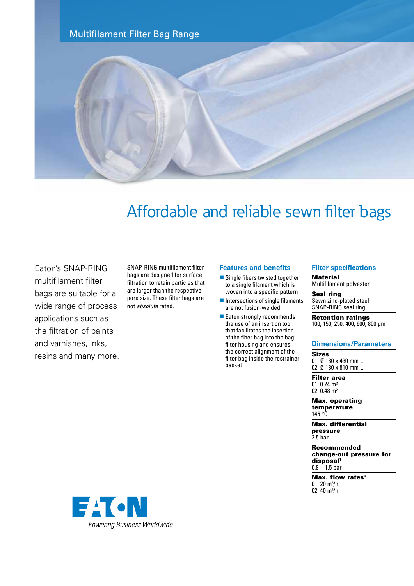Multifilament Filter Bag Range



# Affordable and reliable sewn filter bags

Eaton's SNAP-RING multifilament filter bags are suitable for a wide range of process applications such as the filtration of paints and varnishes, inks, resins and many more. SNAP-RING multifilament filter bags are designed for surface filtration to retain particles that are larger than the respective pore size. These filter bags are not *absolute* rated.

## **Features and benefits**

- $\blacksquare$  Single fibers twisted together to a single filament which is woven into a specific pattern
- $\blacksquare$  Intersections of single filaments are not fusion-welded
- $\blacksquare$  Eaton strongly recommends the use of an insertion tool that facilitates the insertion of the filter bag into the bag filter housing and ensures the correct alignment of the filter bag inside the restrainer basket

## **Filter specifications**

### **Material**

Multifilament polyester

Seal ring Sewn zinc-plated steel SNAP-RING seal ring

Retention ratings 100, 150, 250, 400, 600, 800 µm

#### **Dimensions/Parameters**

Sizes 01: Ø 180 x 430 mm L 02: Ø 180 x 810 mm L

Filter area 01: 0.24 m² 02: 0.48 m²

Max. operating temperature 145 °C

Max. differential pressure 2.5 bar

Recommended change-out pressure for disposal<sup>1</sup>  $0.8 - 1.5$  bar

Max. flow rates $2$ 01: 20 m<sup>3</sup>/h 02:  $40 \text{ m}^3/h$